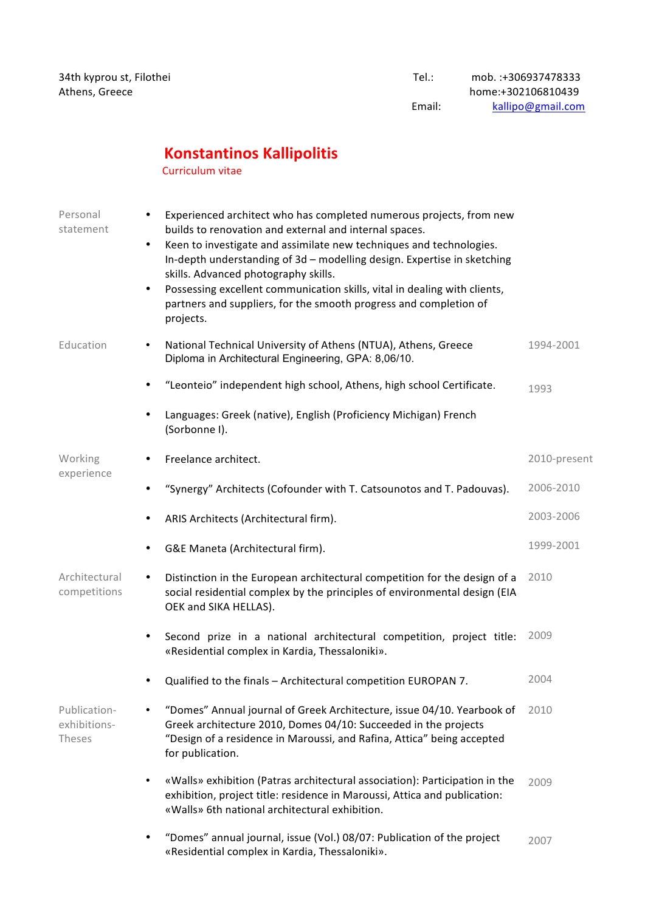## **Konstantinos Kallipolitis**

Curriculum vitae

| Personal<br>statement                  | Experienced architect who has completed numerous projects, from new<br>builds to renovation and external and internal spaces.<br>Keen to investigate and assimilate new techniques and technologies.<br>$\bullet$<br>In-depth understanding of 3d - modelling design. Expertise in sketching<br>skills. Advanced photography skills.<br>Possessing excellent communication skills, vital in dealing with clients,<br>$\bullet$<br>partners and suppliers, for the smooth progress and completion of<br>projects. |              |
|----------------------------------------|------------------------------------------------------------------------------------------------------------------------------------------------------------------------------------------------------------------------------------------------------------------------------------------------------------------------------------------------------------------------------------------------------------------------------------------------------------------------------------------------------------------|--------------|
| Education                              | National Technical University of Athens (NTUA), Athens, Greece<br>$\bullet$<br>Diploma in Architectural Engineering, GPA: 8,06/10.                                                                                                                                                                                                                                                                                                                                                                               | 1994-2001    |
|                                        | "Leonteio" independent high school, Athens, high school Certificate.                                                                                                                                                                                                                                                                                                                                                                                                                                             | 1993         |
|                                        | Languages: Greek (native), English (Proficiency Michigan) French<br>(Sorbonne I).                                                                                                                                                                                                                                                                                                                                                                                                                                |              |
| Working                                | Freelance architect.                                                                                                                                                                                                                                                                                                                                                                                                                                                                                             | 2010-present |
| experience                             | "Synergy" Architects (Cofounder with T. Catsounotos and T. Padouvas).                                                                                                                                                                                                                                                                                                                                                                                                                                            | 2006-2010    |
|                                        | ARIS Architects (Architectural firm).<br>٠                                                                                                                                                                                                                                                                                                                                                                                                                                                                       | 2003-2006    |
|                                        | G&E Maneta (Architectural firm).                                                                                                                                                                                                                                                                                                                                                                                                                                                                                 | 1999-2001    |
| Architectural<br>competitions          | Distinction in the European architectural competition for the design of a<br>$\bullet$<br>social residential complex by the principles of environmental design (EIA<br>OEK and SIKA HELLAS).                                                                                                                                                                                                                                                                                                                     | 2010         |
|                                        | Second prize in a national architectural competition, project title:<br>$\bullet$<br>«Residential complex in Kardia, Thessaloniki».                                                                                                                                                                                                                                                                                                                                                                              | 2009         |
|                                        | Qualified to the finals - Architectural competition EUROPAN 7.<br>٠                                                                                                                                                                                                                                                                                                                                                                                                                                              | 2004         |
| Publication-<br>exhibitions-<br>Theses | "Domes" Annual journal of Greek Architecture, issue 04/10. Yearbook of<br>Greek architecture 2010, Domes 04/10: Succeeded in the projects<br>"Design of a residence in Maroussi, and Rafina, Attica" being accepted<br>for publication.                                                                                                                                                                                                                                                                          | 2010         |
|                                        | «Walls» exhibition (Patras architectural association): Participation in the<br>$\bullet$<br>exhibition, project title: residence in Maroussi, Attica and publication:<br>«Walls» 6th national architectural exhibition.                                                                                                                                                                                                                                                                                          | 2009         |
|                                        | "Domes" annual journal, issue (Vol.) 08/07: Publication of the project<br>«Residential complex in Kardia, Thessaloniki».                                                                                                                                                                                                                                                                                                                                                                                         | 2007         |